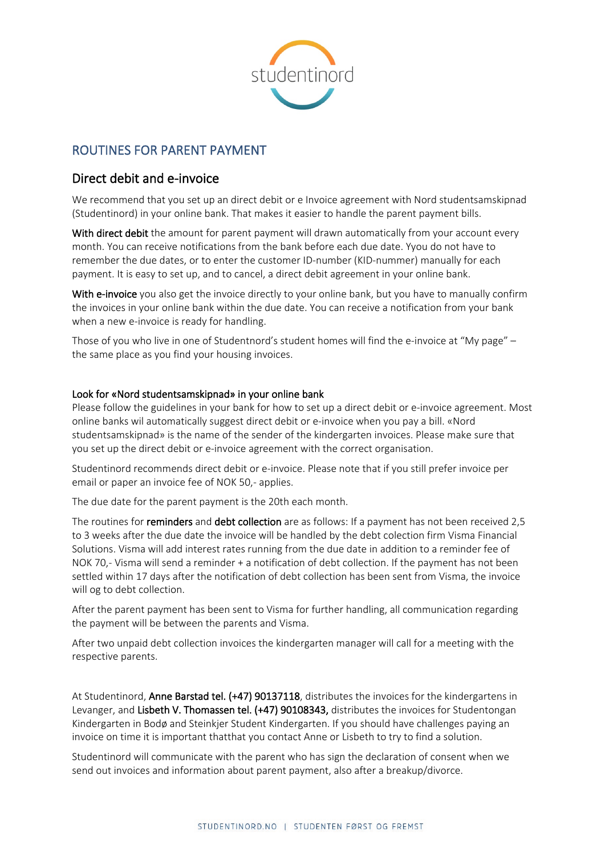

## ROUTINES FOR PARENT PAYMENT

## Direct debit and e-invoice

We recommend that you set up an direct debit or e Invoice agreement with Nord studentsamskipnad (Studentinord) in your online bank. That makes it easier to handle the parent payment bills.

With direct debit the amount for parent payment will drawn automatically from your account every month. You can receive notifications from the bank before each due date. Yyou do not have to remember the due dates, or to enter the customer ID-number (KID-nummer) manually for each payment. It is easy to set up, and to cancel, a direct debit agreement in your online bank.

With e-invoice you also get the invoice directly to your online bank, but you have to manually confirm the invoices in your online bank within the due date. You can receive a notification from your bank when a new e-invoice is ready for handling.

Those of you who live in one of Studentnord's student homes will find the e-invoice at "My page" – the same place as you find your housing invoices.

## Look for «Nord studentsamskipnad» in your online bank

Please follow the guidelines in your bank for how to set up a direct debit or e-invoice agreement. Most online banks wil automatically suggest direct debit or e-invoice when you pay a bill. «Nord studentsamskipnad» is the name of the sender of the kindergarten invoices. Please make sure that you set up the direct debit or e-invoice agreement with the correct organisation.

Studentinord recommends direct debit or e-invoice. Please note that if you still prefer invoice per email or paper an invoice fee of NOK 50,- applies.

The due date for the parent payment is the 20th each month.

The routines for reminders and debt collection are as follows: If a payment has not been received 2,5 to 3 weeks after the due date the invoice will be handled by the debt colection firm Visma Financial Solutions. Visma will add interest rates running from the due date in addition to a reminder fee of NOK 70,- Visma will send a reminder + a notification of debt collection. If the payment has not been settled within 17 days after the notification of debt collection has been sent from Visma, the invoice will og to debt collection.

After the parent payment has been sent to Visma for further handling, all communication regarding the payment will be between the parents and Visma.

After two unpaid debt collection invoices the kindergarten manager will call for a meeting with the respective parents.

At Studentinord, Anne Barstad tel. (+47) 90137118, distributes the invoices for the kindergartens in Levanger, and Lisbeth V. Thomassen tel. (+47) 90108343, distributes the invoices for Studentongan Kindergarten in Bodø and Steinkjer Student Kindergarten. If you should have challenges paying an invoice on time it is important thatthat you contact Anne or Lisbeth to try to find a solution.

Studentinord will communicate with the parent who has sign the declaration of consent when we send out invoices and information about parent payment, also after a breakup/divorce.